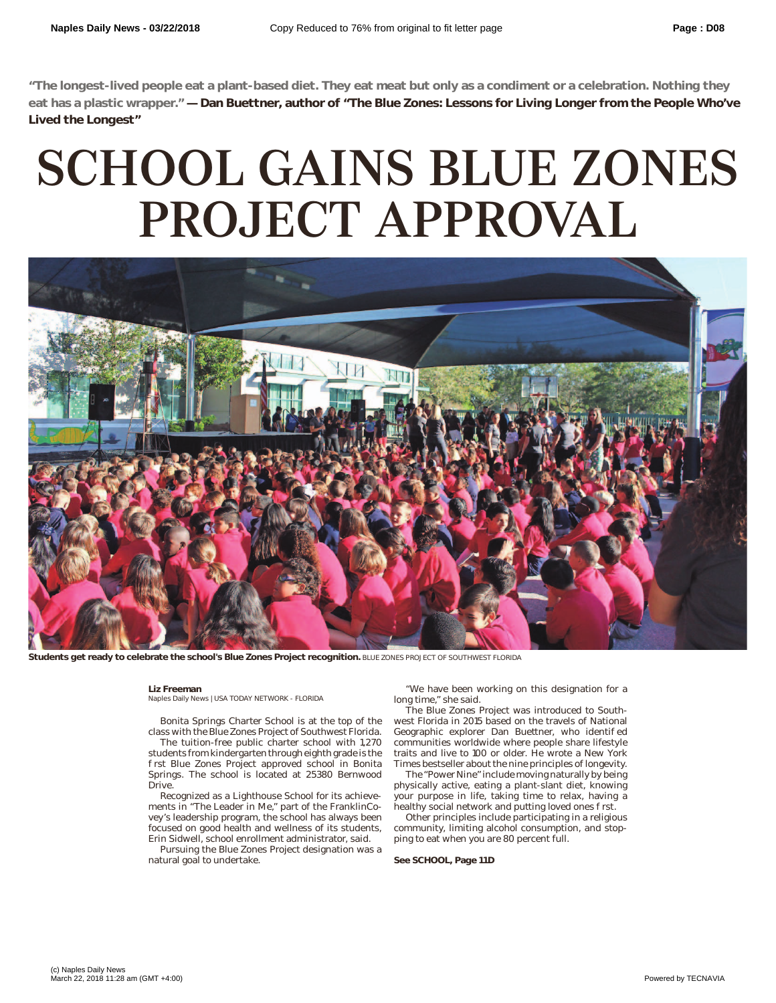**"The longest-lived people eat a plant-based diet. They eat meat but only as a condiment or a celebration. Nothing they eat has a plastic wrapper." — Dan Buettner, author of "The Blue Zones: Lessons for Living Longer from the People Who've Lived the Longest"**

## SCHOOL GAINS BLUE ZONES PROJECT APPROVAL



**Students get ready to celebrate the school's Blue Zones Project recognition.** BLUE ZONES PROJECT OF SOUTHWEST FLORIDA

## **Liz Freeman**

Naples Daily News | USA TODAY NETWORK - FLORIDA

Bonita Springs Charter School is at the top of the class with the Blue Zones Project of Southwest Florida.

The tuition-free public charter school with 1,270 students from kindergarten through eighth grade is the rst Blue Zones Project approved school in Bonita Springs. The school is located at 25380 Bernwood Drive.

Recognized as a Lighthouse School for its achievements in "The Leader in Me," part of the FranklinCovey's leadership program, the school has always been focused on good health and wellness of its students, Erin Sidwell, school enrollment administrator, said.

Pursuing the Blue Zones Project designation was a natural goal to undertake.

"We have been working on this designation for a long time," she said.

The Blue Zones Project was introduced to Southwest Florida in 2015 based on the travels of National Geographic explorer Dan Buettner, who identi ed communities worldwide where people share lifestyle traits and live to 100 or older. He wrote a New York Times bestseller about the nine principles of longevity.

The "Power Nine" include moving naturally by being physically active, eating a plant-slant diet, knowing your purpose in life, taking time to relax, having a healthy social network and putting loved ones rst.

Other principles include participating in a religious community, limiting alcohol consumption, and stopping to eat when you are 80 percent full.

## **See SCHOOL, Page 11D**